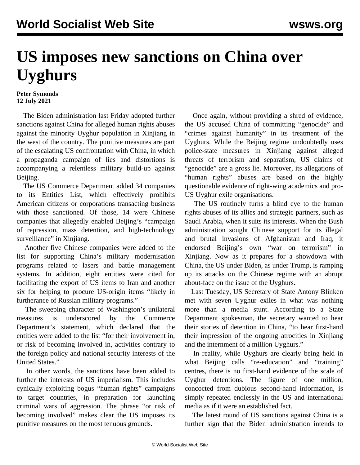## **US imposes new sanctions on China over Uyghurs**

## **Peter Symonds 12 July 2021**

 The Biden administration last Friday adopted further sanctions against China for alleged human rights abuses against the minority Uyghur population in Xinjiang in the west of the country. The punitive measures are part of the escalating US confrontation with China, in which a propaganda campaign of lies and distortions is accompanying a relentless military build-up against Beijing.

 The US Commerce Department added 34 companies to its Entities List, which effectively prohibits American citizens or corporations transacting business with those sanctioned. Of those, 14 were Chinese companies that allegedly enabled Beijing's "campaign of repression, mass detention, and high-technology surveillance" in Xinjiang.

 Another five Chinese companies were added to the list for supporting China's military modernisation programs related to lasers and battle management systems. In addition, eight entities were cited for facilitating the export of US items to Iran and another six for helping to procure US-origin items "likely in furtherance of Russian military programs."

 The sweeping character of Washington's unilateral measures is underscored by the Commerce Department's statement, which declared that the entities were added to the list "for their involvement in, or risk of becoming involved in, activities contrary to the foreign policy and national security interests of the United States."

 In other words, the sanctions have been added to further the interests of US imperialism. This includes cynically exploiting bogus "human rights" campaigns to target countries, in preparation for launching criminal wars of aggression. The phrase "or risk of becoming involved" makes clear the US imposes its punitive measures on the most tenuous grounds.

 Once again, without providing a shred of evidence, the US accused China of committing "genocide" and "crimes against humanity" in its treatment of the Uyghurs. While the Beijing regime undoubtedly uses police-state measures in Xinjiang against alleged threats of terrorism and separatism, US claims of "genocide" are a gross lie. Moreover, its allegations of "human rights" abuses are based on the highly questionable evidence of right-wing academics and pro-US Uyghur exile organisations.

 The US routinely turns a blind eye to the human rights abuses of its allies and strategic partners, such as Saudi Arabia, when it suits its interests. When the Bush administration sought Chinese support for its illegal and brutal invasions of Afghanistan and Iraq, it endorsed Beijing's own "war on terrorism" in Xinjiang. Now as it prepares for a showdown with China, the US under Biden, as under Trump, is ramping up its attacks on the Chinese regime with an abrupt about-face on the issue of the Uyghurs.

 Last Tuesday, US Secretary of State Antony Blinken met with seven Uyghur exiles in what was nothing more than a media stunt. According to a State Department spokesman, the secretary wanted to hear their stories of detention in China, "to hear first-hand their impression of the ongoing atrocities in Xinjiang and the internment of a million Uyghurs."

 In reality, while Uyghurs are clearly being held in what Beijing calls "re-education" and "training" centres, there is no first-hand evidence of the scale of Uyghur detentions. The figure of one million, concocted from dubious second-hand information, is simply repeated endlessly in the US and international media as if it were an established fact.

 The latest round of US sanctions against China is a further sign that the Biden administration intends to